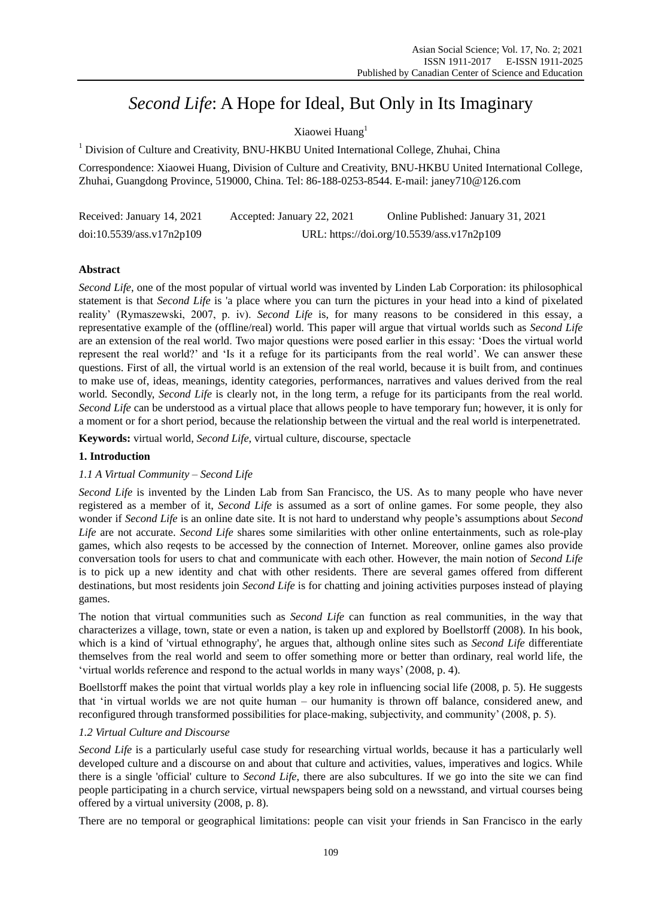# *Second Life*: A Hope for Ideal, But Only in Its Imaginary

Xiaowei Huang<sup>1</sup>

<sup>1</sup> Division of Culture and Creativity, BNU-HKBU United International College, Zhuhai, China

Correspondence: Xiaowei Huang, Division of Culture and Creativity, BNU-HKBU United International College, Zhuhai, Guangdong Province, 519000, China. Tel: 86-188-0253-8544. E-mail: janey710@126.com

| Received: January 14, 2021 | Accepted: January 22, 2021                 | Online Published: January 31, 2021 |
|----------------------------|--------------------------------------------|------------------------------------|
| doi:10.5539/ass.v17n2p109  | URL: https://doi.org/10.5539/ass.v17n2p109 |                                    |

## **Abstract**

*Second Life*, one of the most popular of virtual world was invented by Linden Lab Corporation: its philosophical statement is that *Second Life* is 'a place where you can turn the pictures in your head into a kind of pixelated reality' (Rymaszewski, 2007, p. iv). *Second Life* is, for many reasons to be considered in this essay, a representative example of the (offline/real) world. This paper will argue that virtual worlds such as *Second Life* are an extension of the real world. Two major questions were posed earlier in this essay: 'Does the virtual world represent the real world?' and 'Is it a refuge for its participants from the real world'. We can answer these questions. First of all, the virtual world is an extension of the real world, because it is built from, and continues to make use of, ideas, meanings, identity categories, performances, narratives and values derived from the real world. Secondly, *Second Life* is clearly not, in the long term, a refuge for its participants from the real world. *Second Life* can be understood as a virtual place that allows people to have temporary fun; however, it is only for a moment or for a short period, because the relationship between the virtual and the real world is interpenetrated.

**Keywords:** virtual world, *Second Life*, virtual culture, discourse, spectacle

## **1. Introduction**

## *1.1 A Virtual Community – Second Life*

*Second Life* is invented by the Linden Lab from San Francisco, the US. As to many people who have never registered as a member of it, *Second Life* is assumed as a sort of online games. For some people, they also wonder if *Second Life* is an online date site. It is not hard to understand why people's assumptions about *Second Life* are not accurate. *Second Life* shares some similarities with other online entertainments, such as role-play games, which also reqests to be accessed by the connection of Internet. Moreover, online games also provide conversation tools for users to chat and communicate with each other. However, the main notion of *Second Life* is to pick up a new identity and chat with other residents. There are several games offered from different destinations, but most residents join *Second Life* is for chatting and joining activities purposes instead of playing games.

The notion that virtual communities such as *Second Life* can function as real communities, in the way that characterizes a village, town, state or even a nation, is taken up and explored by Boellstorff (2008). In his book, which is a kind of 'virtual ethnography', he argues that, although online sites such as *Second Life* differentiate themselves from the real world and seem to offer something more or better than ordinary, real world life, the ‗virtual worlds reference and respond to the actual worlds in many ways' (2008, p. 4).

Boellstorff makes the point that virtual worlds play a key role in influencing social life (2008, p. 5). He suggests that 'in virtual worlds we are not quite human – our humanity is thrown off balance, considered anew, and reconfigured through transformed possibilities for place-making, subjectivity, and community' (2008, p. 5).

## *1.2 Virtual Culture and Discourse*

*Second Life* is a particularly useful case study for researching virtual worlds, because it has a particularly well developed culture and a discourse on and about that culture and activities, values, imperatives and logics. While there is a single 'official' culture to *Second Life*, there are also subcultures. If we go into the site we can find people participating in a church service, virtual newspapers being sold on a newsstand, and virtual courses being offered by a virtual university (2008, p. 8).

There are no temporal or geographical limitations: people can visit your friends in San Francisco in the early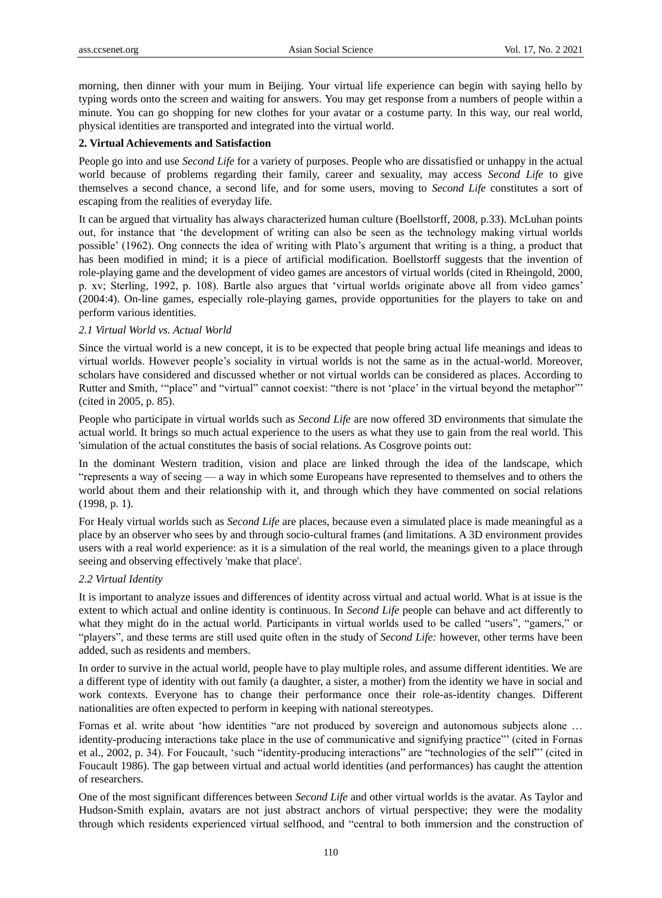morning, then dinner with your mum in Beijing. Your virtual life experience can begin with saying hello by typing words onto the screen and waiting for answers. You may get response from a numbers of people within a minute. You can go shopping for new clothes for your avatar or a costume party. In this way, our real world, physical identities are transported and integrated into the virtual world.

#### **2. Virtual Achievements and Satisfaction**

People go into and use *Second Life* for a variety of purposes. People who are dissatisfied or unhappy in the actual world because of problems regarding their family, career and sexuality, may access *Second Life* to give themselves a second chance, a second life, and for some users, moving to *Second Life* constitutes a sort of escaping from the realities of everyday life.

It can be argued that virtuality has always characterized human culture (Boellstorff, 2008, p.33). McLuhan points out, for instance that ‗the development of writing can also be seen as the technology making virtual worlds possible' (1962). Ong connects the idea of writing with Plato's argument that writing is a thing, a product that has been modified in mind; it is a piece of artificial modification. Boellstorff suggests that the invention of role-playing game and the development of video games are ancestors of virtual worlds (cited in Rheingold, 2000, p. xv; Sterling, 1992, p. 108). Bartle also argues that ‗virtual worlds originate above all from video games' (2004:4). On-line games, especially role-playing games, provide opportunities for the players to take on and perform various identities.

#### *2.1 Virtual World vs. Actual World*

Since the virtual world is a new concept, it is to be expected that people bring actual life meanings and ideas to virtual worlds. However people's sociality in virtual worlds is not the same as in the actual-world. Moreover, scholars have considered and discussed whether or not virtual worlds can be considered as places. According to Rutter and Smith, ""place" and "virtual" cannot coexist: "there is not 'place' in the virtual beyond the metaphor" (cited in 2005, p. 85).

People who participate in virtual worlds such as *Second Life* are now offered 3D environments that simulate the actual world. It brings so much actual experience to the users as what they use to gain from the real world. This 'simulation of the actual constitutes the basis of social relations. As Cosgrove points out:

In the dominant Western tradition, vision and place are linked through the idea of the landscape, which ―represents a way of seeing — a way in which some Europeans have represented to themselves and to others the world about them and their relationship with it, and through which they have commented on social relations (1998, p. 1).

For Healy virtual worlds such as *Second Life* are places, because even a simulated place is made meaningful as a place by an observer who sees by and through socio-cultural frames (and limitations. A 3D environment provides users with a real world experience: as it is a simulation of the real world, the meanings given to a place through seeing and observing effectively 'make that place'.

#### *2.2 Virtual Identity*

It is important to analyze issues and differences of identity across virtual and actual world. What is at issue is the extent to which actual and online identity is continuous. In *Second Life* people can behave and act differently to what they might do in the actual world. Participants in virtual worlds used to be called "users", "gamers," or "players", and these terms are still used quite often in the study of *Second Life:* however, other terms have been added, such as residents and members.

In order to survive in the actual world, people have to play multiple roles, and assume different identities. We are a different type of identity with out family (a daughter, a sister, a mother) from the identity we have in social and work contexts. Everyone has to change their performance once their role-as-identity changes. Different nationalities are often expected to perform in keeping with national stereotypes.

Fornas et al. write about 'how identities "are not produced by sovereign and autonomous subjects alone ... identity-producing interactions take place in the use of communicative and signifying practice" (cited in Fornas et al., 2002, p. 34). For Foucault, 'such "identity-producing interactions" are "technologies of the self" (cited in Foucault 1986). The gap between virtual and actual world identities (and performances) has caught the attention of researchers.

One of the most significant differences between *Second Life* and other virtual worlds is the avatar. As Taylor and Hudson-Smith explain, avatars are not just abstract anchors of virtual perspective; they were the modality through which residents experienced virtual selfhood, and "central to both immersion and the construction of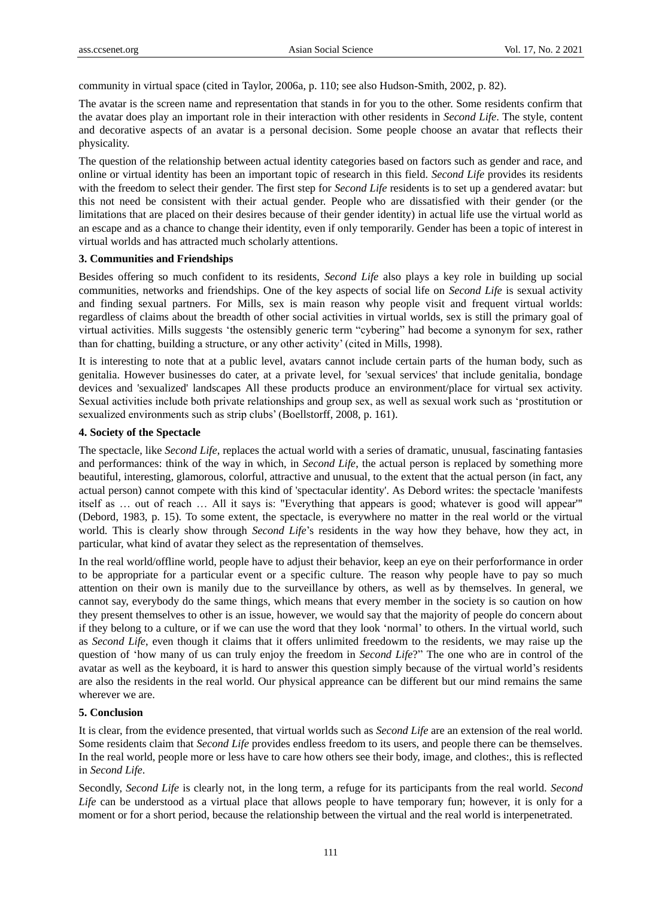community in virtual space (cited in Taylor, 2006a, p. 110; see also Hudson-Smith, 2002, p. 82).

The avatar is the screen name and representation that stands in for you to the other. Some residents confirm that the avatar does play an important role in their interaction with other residents in *Second Life*. The style, content and decorative aspects of an avatar is a personal decision. Some people choose an avatar that reflects their physicality.

The question of the relationship between actual identity categories based on factors such as gender and race, and online or virtual identity has been an important topic of research in this field. *Second Life* provides its residents with the freedom to select their gender. The first step for *Second Life* residents is to set up a gendered avatar: but this not need be consistent with their actual gender. People who are dissatisfied with their gender (or the limitations that are placed on their desires because of their gender identity) in actual life use the virtual world as an escape and as a chance to change their identity, even if only temporarily. Gender has been a topic of interest in virtual worlds and has attracted much scholarly attentions.

#### **3. Communities and Friendships**

Besides offering so much confident to its residents, *Second Life* also plays a key role in building up social communities, networks and friendships. One of the key aspects of social life on *Second Life* is sexual activity and finding sexual partners. For Mills, sex is main reason why people visit and frequent virtual worlds: regardless of claims about the breadth of other social activities in virtual worlds, sex is still the primary goal of virtual activities. Mills suggests 'the ostensibly generic term "cybering" had become a synonym for sex, rather than for chatting, building a structure, or any other activity' (cited in Mills, 1998).

It is interesting to note that at a public level, avatars cannot include certain parts of the human body, such as genitalia. However businesses do cater, at a private level, for 'sexual services' that include genitalia, bondage devices and 'sexualized' landscapes All these products produce an environment/place for virtual sex activity. Sexual activities include both private relationships and group sex, as well as sexual work such as 'prostitution or sexualized environments such as strip clubs' (Boellstorff, 2008, p. 161).

#### **4. Society of the Spectacle**

The spectacle, like *Second Life*, replaces the actual world with a series of dramatic, unusual, fascinating fantasies and performances: think of the way in which, in *Second Life*, the actual person is replaced by something more beautiful, interesting, glamorous, colorful, attractive and unusual, to the extent that the actual person (in fact, any actual person) cannot compete with this kind of 'spectacular identity'. As Debord writes: the spectacle 'manifests itself as … out of reach … All it says is: "Everything that appears is good; whatever is good will appear'" (Debord, 1983, p. 15). To some extent, the spectacle, is everywhere no matter in the real world or the virtual world. This is clearly show through *Second Life*'s residents in the way how they behave, how they act, in particular, what kind of avatar they select as the representation of themselves.

In the real world/offline world, people have to adjust their behavior, keep an eye on their perforformance in order to be appropriate for a particular event or a specific culture. The reason why people have to pay so much attention on their own is manily due to the surveillance by others, as well as by themselves. In general, we cannot say, everybody do the same things, which means that every member in the society is so caution on how they present themselves to other is an issue, however, we would say that the majority of people do concern about if they belong to a culture, or if we can use the word that they look 'normal' to others. In the virtual world, such as *Second Life*, even though it claims that it offers unlimited freedowm to the residents, we may raise up the question of 'how many of us can truly enjoy the freedom in *Second Life*?" The one who are in control of the avatar as well as the keyboard, it is hard to answer this question simply because of the virtual world's residents are also the residents in the real world. Our physical appreance can be different but our mind remains the same wherever we are.

#### **5. Conclusion**

It is clear, from the evidence presented, that virtual worlds such as *Second Life* are an extension of the real world. Some residents claim that *Second Life* provides endless freedom to its users, and people there can be themselves. In the real world, people more or less have to care how others see their body, image, and clothes:, this is reflected in *Second Life*.

Secondly, *Second Life* is clearly not, in the long term, a refuge for its participants from the real world. *Second Life* can be understood as a virtual place that allows people to have temporary fun; however, it is only for a moment or for a short period, because the relationship between the virtual and the real world is interpenetrated.